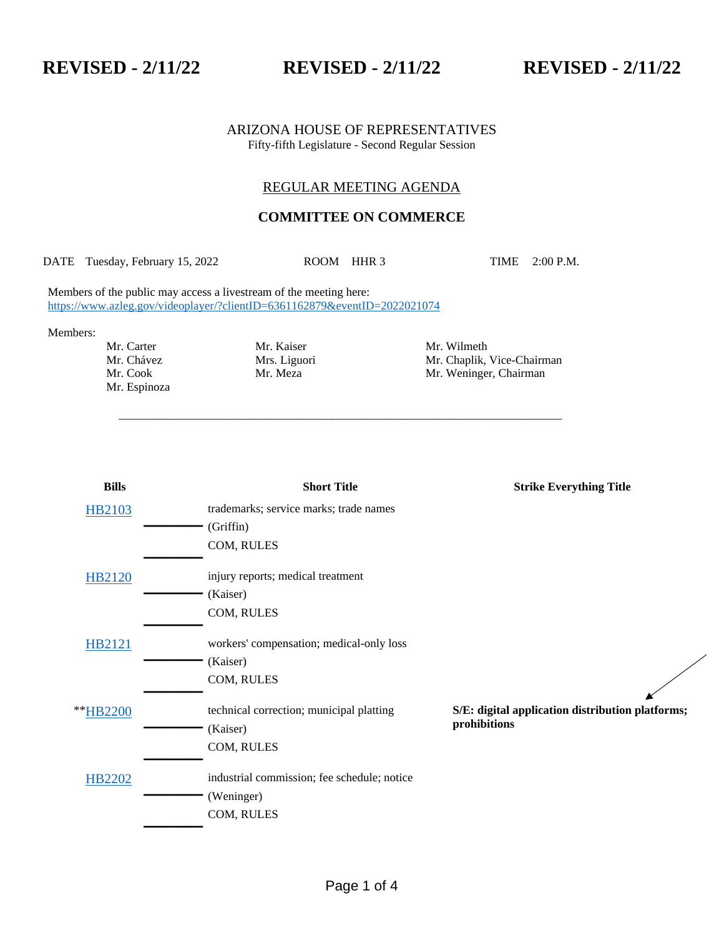**REVISED - 2/11/22 REVISED - 2/11/22 REVISED - 2/11/22**

#### ARIZONA HOUSE OF REPRESENTATIVES Fifty-fifth Legislature - Second Regular Session

## REGULAR MEETING AGENDA

# **COMMITTEE ON COMMERCE**

DATE Tuesday, February 15, 2022 ROOM HHR 3 TIME 2:00 P.M.

\_\_\_\_\_\_\_\_\_\_\_\_\_\_\_\_\_\_\_\_\_\_\_\_\_\_\_\_\_\_\_\_\_\_\_\_\_\_\_\_\_\_\_\_\_\_\_\_\_\_\_\_\_\_\_\_\_\_\_\_\_\_\_\_\_\_\_\_\_\_\_\_\_\_\_

Members of the public may access a livestream of the meeting here: <https://www.azleg.gov/videoplayer/?clientID=6361162879&eventID=2022021074>

Members:

Mr. Espinoza

Mr. Carter Mr. Kaiser Mr. Wilmeth Mr. Chávez Mrs. Liguori Mr. Chaplik, Vice-Chairman Mr. Cook Mr. Meza Mr. Weninger, Chairman

| <b>Bills</b>  | <b>Short Title</b>                          | <b>Strike Everything Title</b>                                   |
|---------------|---------------------------------------------|------------------------------------------------------------------|
| <b>HB2103</b> | trademarks; service marks; trade names      |                                                                  |
|               | (Griffin)                                   |                                                                  |
|               | COM, RULES                                  |                                                                  |
| HB2120        | injury reports; medical treatment           |                                                                  |
|               | (Kaiser)                                    |                                                                  |
|               | COM, RULES                                  |                                                                  |
| <b>HB2121</b> | workers' compensation; medical-only loss    |                                                                  |
|               | (Kaiser)                                    |                                                                  |
|               | COM, RULES                                  |                                                                  |
|               |                                             |                                                                  |
| **HB2200      | technical correction; municipal platting    | S/E: digital application distribution platforms;<br>prohibitions |
|               | (Kaiser)                                    |                                                                  |
|               | COM, RULES                                  |                                                                  |
| <b>HB2202</b> | industrial commission; fee schedule; notice |                                                                  |
|               | (Weninger)                                  |                                                                  |
|               | COM, RULES                                  |                                                                  |
|               |                                             |                                                                  |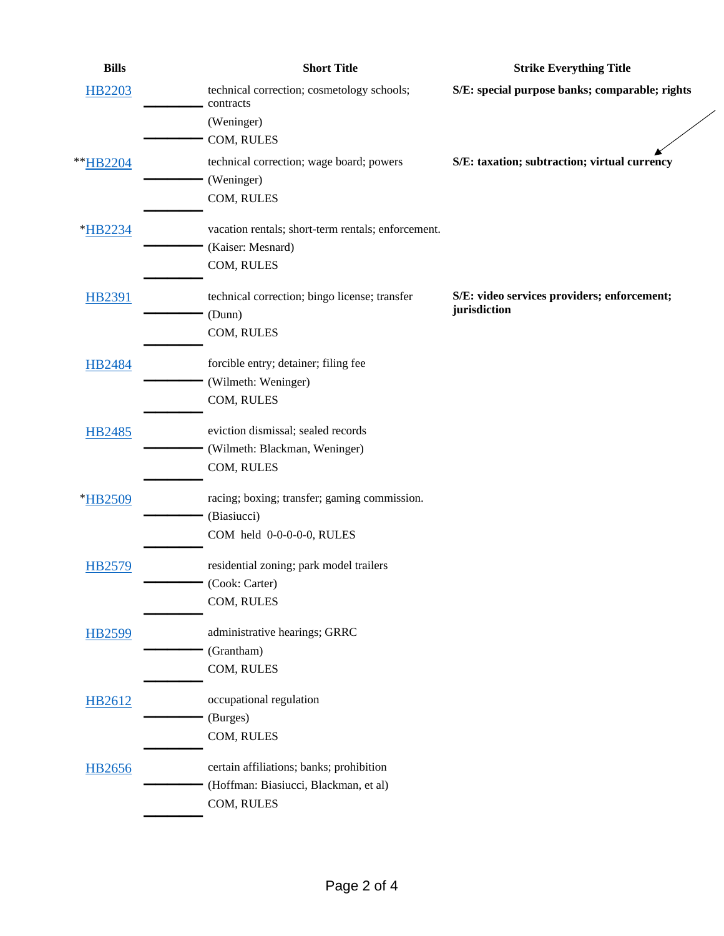| <b>Bills</b>  | <b>Short Title</b>                                      | <b>Strike Everything Title</b>                 |
|---------------|---------------------------------------------------------|------------------------------------------------|
| <b>HB2203</b> | technical correction; cosmetology schools;<br>contracts | S/E: special purpose banks; comparable; rights |
|               | (Weninger)                                              |                                                |
|               | COM, RULES                                              |                                                |
| **HB2204      | technical correction; wage board; powers                | S/E: taxation; subtraction; virtual currency   |
|               | (Weninger)                                              |                                                |
|               | COM, RULES                                              |                                                |
| *HB2234       | vacation rentals; short-term rentals; enforcement.      |                                                |
|               | (Kaiser: Mesnard)                                       |                                                |
|               | COM, RULES                                              |                                                |
| <b>HB2391</b> | technical correction; bingo license; transfer           | S/E: video services providers; enforcement;    |
|               | (Dunn)                                                  | jurisdiction                                   |
|               | COM, RULES                                              |                                                |
| HB2484        | forcible entry; detainer; filing fee                    |                                                |
|               | (Wilmeth: Weninger)                                     |                                                |
|               | COM, RULES                                              |                                                |
| <b>HB2485</b> | eviction dismissal; sealed records                      |                                                |
|               | (Wilmeth: Blackman, Weninger)                           |                                                |
|               | COM, RULES                                              |                                                |
| *HB2509       | racing; boxing; transfer; gaming commission.            |                                                |
|               | (Biasiucci)                                             |                                                |
|               | COM held 0-0-0-0-0, RULES                               |                                                |
| <b>HB2579</b> | residential zoning; park model trailers                 |                                                |
|               | (Cook: Carter)                                          |                                                |
|               | COM, RULES                                              |                                                |
| <b>HB2599</b> | administrative hearings; GRRC                           |                                                |
|               | (Grantham)                                              |                                                |
|               | COM, RULES                                              |                                                |
| HB2612        | occupational regulation                                 |                                                |
|               | (Burges)                                                |                                                |
|               | COM, RULES                                              |                                                |
| <b>HB2656</b> | certain affiliations; banks; prohibition                |                                                |
|               | (Hoffman: Biasiucci, Blackman, et al)                   |                                                |
|               | COM, RULES                                              |                                                |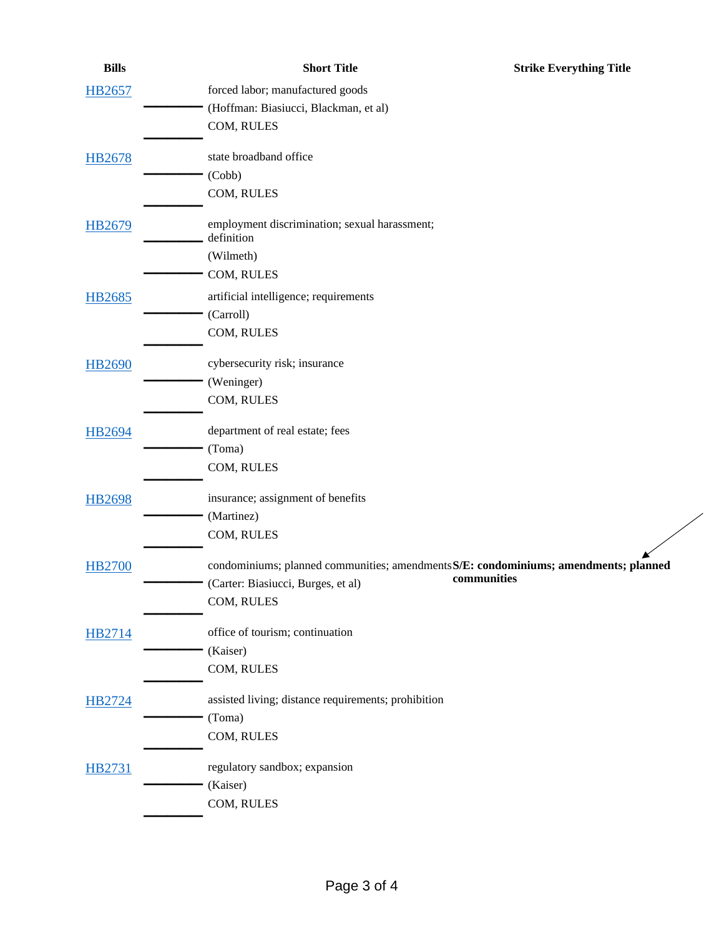| <b>Bills</b>  | <b>Short Title</b>                                                                   | <b>Strike Everything Title</b> |
|---------------|--------------------------------------------------------------------------------------|--------------------------------|
| HB2657        | forced labor; manufactured goods                                                     |                                |
|               | (Hoffman: Biasiucci, Blackman, et al)                                                |                                |
|               | COM, RULES                                                                           |                                |
| <b>HB2678</b> | state broadband office                                                               |                                |
|               | (Cobb)                                                                               |                                |
|               | COM, RULES                                                                           |                                |
| HB2679        | employment discrimination; sexual harassment;<br>definition                          |                                |
|               | (Wilmeth)                                                                            |                                |
|               | COM, RULES                                                                           |                                |
| <b>HB2685</b> | artificial intelligence; requirements                                                |                                |
|               | (Carroll)                                                                            |                                |
|               | COM, RULES                                                                           |                                |
| <b>HB2690</b> | cybersecurity risk; insurance                                                        |                                |
|               | (Weninger)                                                                           |                                |
|               | COM, RULES                                                                           |                                |
| HB2694        | department of real estate; fees                                                      |                                |
|               | (Toma)                                                                               |                                |
|               | COM, RULES                                                                           |                                |
| <b>HB2698</b> | insurance; assignment of benefits                                                    |                                |
|               | (Martinez)                                                                           |                                |
|               | COM, RULES                                                                           |                                |
| <b>HB2700</b> | condominiums; planned communities; amendments S/E: condominiums; amendments; planned |                                |
|               | (Carter: Biasiucci, Burges, et al)                                                   | communities                    |
|               | COM, RULES                                                                           |                                |
| <b>HB2714</b> | office of tourism; continuation                                                      |                                |
|               | (Kaiser)                                                                             |                                |
|               | COM, RULES                                                                           |                                |
| HB2724        | assisted living; distance requirements; prohibition                                  |                                |
|               | (Toma)                                                                               |                                |
|               | COM, RULES                                                                           |                                |
| <b>HB2731</b> | regulatory sandbox; expansion                                                        |                                |
|               | (Kaiser)                                                                             |                                |
|               | COM, RULES                                                                           |                                |

 $\overline{\phantom{a}}$